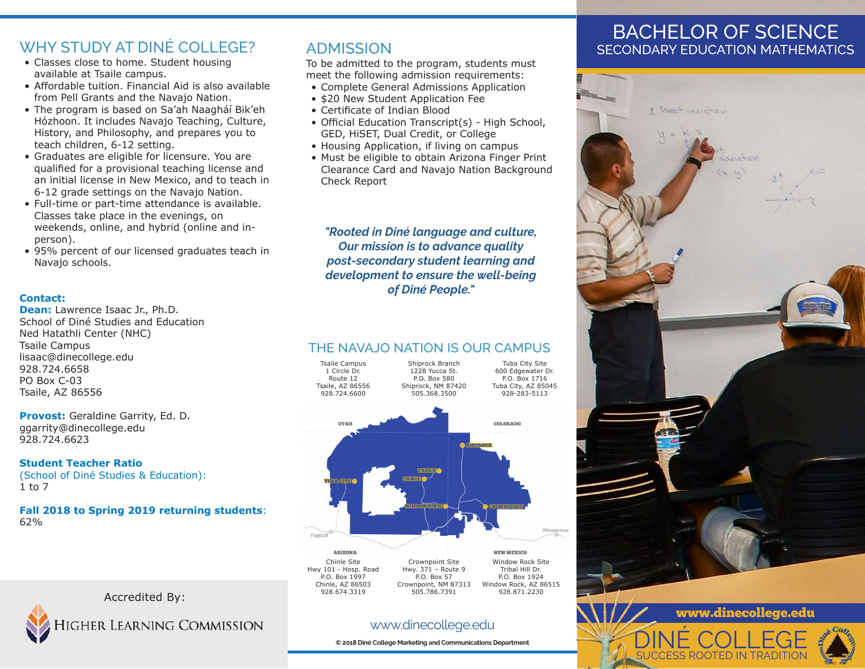# WHY STUDY AT DINÉ COLLEGE?

- Classes close to home. Student housing available at Tsaile campus.
- Affordable tuition. Financial Aid is also available from Pell Grants and the Navajo Nation.
- The program is based on Sa'ah Naagháí Bik'eh Hózhoon. It includes Navajo Teaching, Culture, History, and Philosophy, and prepares you to teach children, 6-12 setting.
- Graduates are eligible for licensure. You are qualified for a provisional teaching license and an initial license in New Mexico, and to teach in 6-12 grade settings on the Navajo Nation.
- Full-time or part-time attendance is available. Classes take place in the evenings, on weekends, online, and hybrid (online and inperson).
- 95% percent of our licensed graduates teach in Navajo schools.

#### **Contact:**

**Dean:** Lawrence Isaac Jr., Ph.D. School of Diné Studies and Education Ned Hatathli Center (NHC) Tsaile Campus lisaac@dinecollege.edu 928.724.6658 PO Box C-03 Tsaile, AZ 86556

**Provost:** Geraldine Garrity, Ed. D. ggarrity@dinecollege.edu 928.724.6623

**Student Teacher Ratio** (School of Diné Studies & Education): 1 to 7

**Fall 2018 to Spring 2019 returning students**: 62%

Accredited By:

**IGHER LEARNING COMMISSION** 

## ADMISSION

To be admitted to the program, students must meet the following admission requirements:

- Complete General Admissions Application
- \$20 New Student Application Fee
- Certificate of Indian Blood
- Official Education Transcript(s) High School, GED, HiSET, Dual Credit, or College
- Housing Application, if living on campus
- Must be eligible to obtain Arizona Finger Print Clearance Card and Navajo Nation Background Check Report

*"Rooted in Diné language and culture, Our mission is to advance quality post-secondary student learning and development to ensure the well-being of Diné People."*

#### Shiprock Branch 1228 Yucca St. THE NAVAJO NATION IS OUR CAMPUS

P.O. Box 580 Shiprock, NM 87420 505.368.3500

Tsaile Campus 1 Circle Dr. Route 12 Tsaile, AZ 86556 928.724.6600

Tuba City Site 600 Edgewater Dr. P.O. Box 1716 Tuba City, AZ 85045 928-283-5113



#### www.dinecollege.edu

**© 2018 Diné College Marketing and Communications Department**

# BACHELOR OF SCIENCE SECONDARY EDUCATION MATHEMATICS